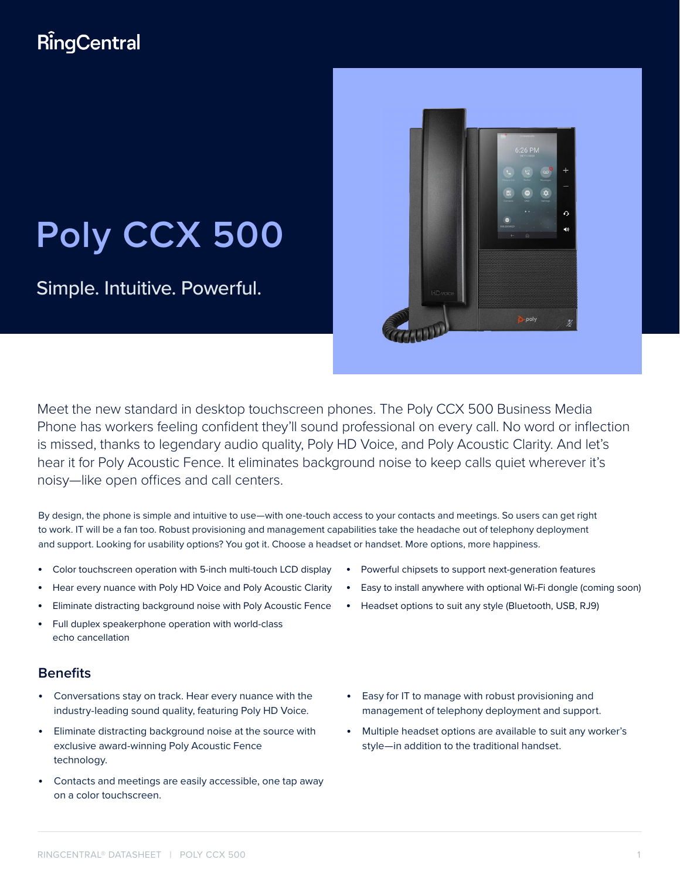# RingCentral

# **Poly CCX 500**

Simple. Intuitive. Powerful.



Meet the new standard in desktop touchscreen phones. The Poly CCX 500 Business Media Phone has workers feeling confident they'll sound professional on every call. No word or inflection is missed, thanks to legendary audio quality, Poly HD Voice, and Poly Acoustic Clarity. And let's hear it for Poly Acoustic Fence. It eliminates background noise to keep calls quiet wherever it's noisy—like open offices and call centers.

By design, the phone is simple and intuitive to use—with one-touch access to your contacts and meetings. So users can get right to work. IT will be a fan too. Robust provisioning and management capabilities take the headache out of telephony deployment and support. Looking for usability options? You got it. Choose a headset or handset. More options, more happiness.

- Color touchscreen operation with 5-inch multi-touch LCD display
- Hear every nuance with Poly HD Voice and Poly Acoustic Clarity
- Eliminate distracting background noise with Poly Acoustic Fence
- Full duplex speakerphone operation with world-class echo cancellation

### **Benefits**

- Conversations stay on track. Hear every nuance with the industry-leading sound quality, featuring Poly HD Voice.
- Eliminate distracting background noise at the source with exclusive award-winning Poly Acoustic Fence technology.
- Contacts and meetings are easily accessible, one tap away on a color touchscreen.
- Powerful chipsets to support next-generation features
- Easy to install anywhere with optional Wi-Fi dongle (coming soon)
- Headset options to suit any style (Bluetooth, USB, RJ9)
- Easy for IT to manage with robust provisioning and management of telephony deployment and support.
- Multiple headset options are available to suit any worker's style—in addition to the traditional handset.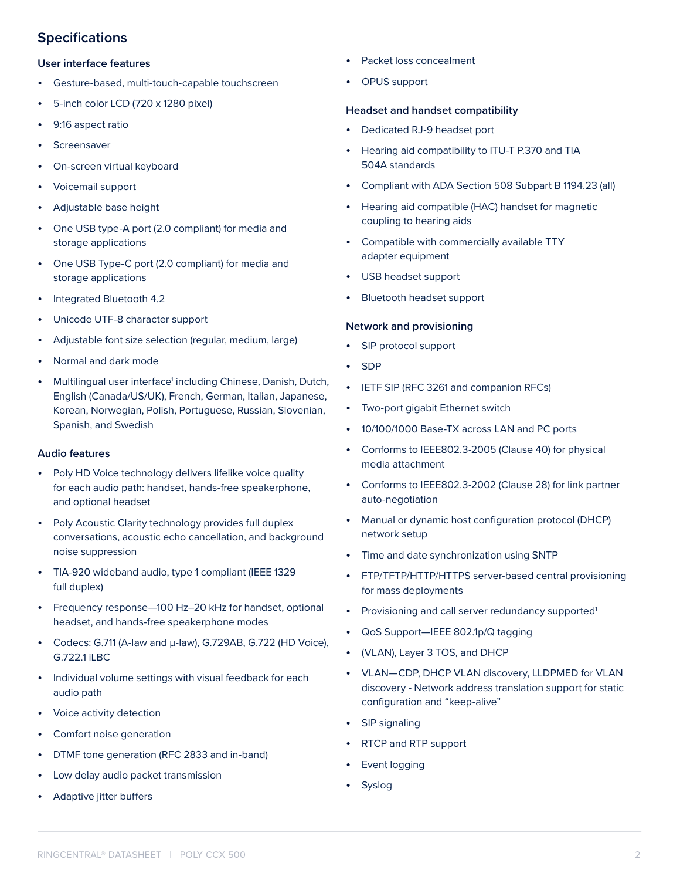## **Specifications**

#### **User interface features**

- Gesture-based, multi-touch-capable touchscreen
- 5-inch color LCD (720 x 1280 pixel)
- 9:16 aspect ratio
- Screensaver
- On-screen virtual keyboard
- Voicemail support
- Adjustable base height
- One USB type-A port (2.0 compliant) for media and storage applications
- One USB Type-C port (2.0 compliant) for media and storage applications
- Integrated Bluetooth 4.2
- Unicode UTF-8 character support
- Adjustable font size selection (regular, medium, large)
- Normal and dark mode
- Multilingual user interface<sup>1</sup> including Chinese, Danish, Dutch, English (Canada/US/UK), French, German, Italian, Japanese, Korean, Norwegian, Polish, Portuguese, Russian, Slovenian, Spanish, and Swedish

#### **Audio features**

- Poly HD Voice technology delivers lifelike voice quality for each audio path: handset, hands-free speakerphone, and optional headset
- Poly Acoustic Clarity technology provides full duplex conversations, acoustic echo cancellation, and background noise suppression
- TIA-920 wideband audio, type 1 compliant (IEEE 1329 full duplex)
- Frequency response—100 Hz–20 kHz for handset, optional headset, and hands-free speakerphone modes
- Codecs: G.711 (A-law and μ-law), G.729AB, G.722 (HD Voice), G.722.1 iLBC
- Individual volume settings with visual feedback for each audio path
- Voice activity detection
- Comfort noise generation
- DTMF tone generation (RFC 2833 and in-band)
- Low delay audio packet transmission
- Adaptive jitter buffers
- Packet loss concealment
- OPUS support

#### **Headset and handset compatibility**

- Dedicated RJ-9 headset port
- Hearing aid compatibility to ITU-T P.370 and TIA 504A standards
- Compliant with ADA Section 508 Subpart B 1194.23 (all)
- Hearing aid compatible (HAC) handset for magnetic coupling to hearing aids
- Compatible with commercially available TTY adapter equipment
- USB headset support
- Bluetooth headset support

#### **Network and provisioning**

- SIP protocol support
- SDP
- IETF SIP (RFC 3261 and companion RFCs)
- Two-port gigabit Ethernet switch
- 10/100/1000 Base-TX across LAN and PC ports
- Conforms to IEEE802.3-2005 (Clause 40) for physical media attachment
- Conforms to IEEE802.3-2002 (Clause 28) for link partner auto-negotiation
- Manual or dynamic host configuration protocol (DHCP) network setup
- Time and date synchronization using SNTP
- FTP/TFTP/HTTP/HTTPS server-based central provisioning for mass deployments
- Provisioning and call server redundancy supported<sup>1</sup>
- QoS Support—IEEE 802.1p/Q tagging
- (VLAN), Layer 3 TOS, and DHCP
- VLAN—CDP, DHCP VLAN discovery, LLDPMED for VLAN discovery - Network address translation support for static configuration and "keep-alive"
- SIP signaling
- RTCP and RTP support
- Event logging
- **Syslog**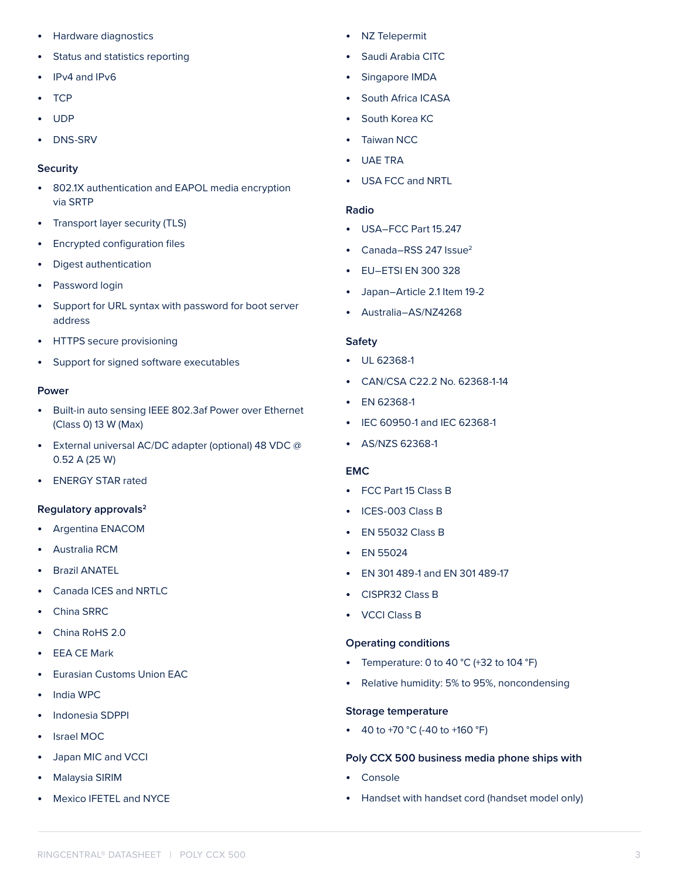- Hardware diagnostics
- Status and statistics reporting
- IPv4 and IPv6
- TCP
- UDP
- DNS-SRV

#### **Security**

- 802.1X authentication and EAPOL media encryption via SRTP
- Transport layer security (TLS)
- Encrypted configuration files
- Digest authentication
- Password login
- Support for URL syntax with password for boot server address
- HTTPS secure provisioning
- Support for signed software executables

#### **Power**

- Built-in auto sensing IEEE 802.3af Power over Ethernet (Class 0) 13 W (Max)
- External universal AC/DC adapter (optional) 48 VDC @ 0.52 A (25 W)
- ENERGY STAR rated

#### **Regulatory approvals2**

- Argentina ENACOM
- Australia RCM
- Brazil ANATEL
- Canada ICES and NRTLC
- China SRRC
- China RoHS 2.0
- **EEA CE Mark**
- Eurasian Customs Union EAC
- India WPC
- Indonesia SDPPI
- Israel MOC
- Japan MIC and VCCI
- Malaysia SIRIM
- Mexico IFETEL and NYCE
- NZ Telepermit
- Saudi Arabia CITC
- Singapore IMDA
- South Africa ICASA
- South Korea KC
- Taiwan NCC
- UAE TRA
- USA FCC and NRTL

#### **Radio**

- USA–FCC Part 15.247
- Canada–RSS 247  $Isue<sup>2</sup>$
- EU–ETSI EN 300 328
- Japan–Article 2.1 Item 19-2
- Australia–AS/NZ4268

#### **Safety**

- UL 62368-1
- CAN/CSA C22.2 No. 62368-1-14
- EN 62368-1
- IEC 60950-1 and IEC 62368-1
- AS/NZS 62368-1

#### **EMC**

- FCC Part 15 Class B
- ICES-003 Class B
- EN 55032 Class B
- EN 55024
- EN 301 489-1 and EN 301 489-17
- CISPR32 Class B
- VCCI Class B

#### **Operating conditions**

- Temperature: 0 to 40  $^{\circ}$ C (+32 to 104  $^{\circ}$ F)
- Relative humidity: 5% to 95%, noncondensing

#### **Storage temperature**

• 40 to +70 °C (-40 to +160 °F)

#### **Poly CCX 500 business media phone ships with**

- Console
- Handset with handset cord (handset model only)